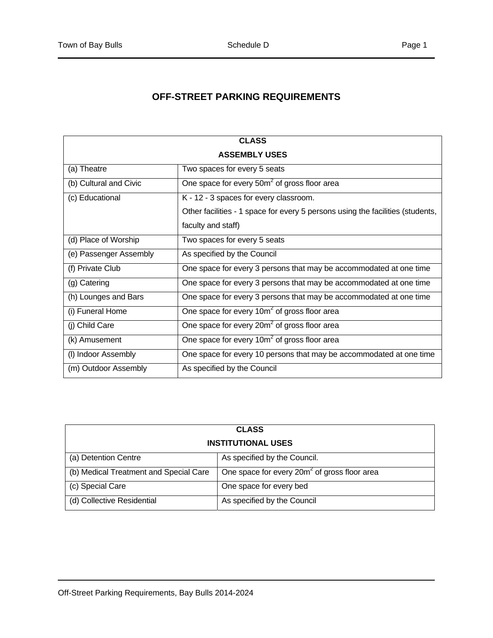## **OFF-STREET PARKING REQUIREMENTS**

| <b>CLASS</b>           |                                                                                |  |
|------------------------|--------------------------------------------------------------------------------|--|
| <b>ASSEMBLY USES</b>   |                                                                                |  |
| (a) Theatre            | Two spaces for every 5 seats                                                   |  |
| (b) Cultural and Civic | One space for every 50m <sup>2</sup> of gross floor area                       |  |
| (c) Educational        | K - 12 - 3 spaces for every classroom.                                         |  |
|                        | Other facilities - 1 space for every 5 persons using the facilities (students, |  |
|                        | faculty and staff)                                                             |  |
| (d) Place of Worship   | Two spaces for every 5 seats                                                   |  |
| (e) Passenger Assembly | As specified by the Council                                                    |  |
| (f) Private Club       | One space for every 3 persons that may be accommodated at one time             |  |
| (g) Catering           | One space for every 3 persons that may be accommodated at one time             |  |
| (h) Lounges and Bars   | One space for every 3 persons that may be accommodated at one time             |  |
| (i) Funeral Home       | One space for every 10m <sup>2</sup> of gross floor area                       |  |
| (j) Child Care         | One space for every 20m <sup>2</sup> of gross floor area                       |  |
| (k) Amusement          | One space for every 10m <sup>2</sup> of gross floor area                       |  |
| (I) Indoor Assembly    | One space for every 10 persons that may be accommodated at one time            |  |
| (m) Outdoor Assembly   | As specified by the Council                                                    |  |

| <b>CLASS</b>                           |                                                          |  |
|----------------------------------------|----------------------------------------------------------|--|
| <b>INSTITUTIONAL USES</b>              |                                                          |  |
| (a) Detention Centre                   | As specified by the Council.                             |  |
| (b) Medical Treatment and Special Care | One space for every 20m <sup>2</sup> of gross floor area |  |
| (c) Special Care                       | One space for every bed                                  |  |
| (d) Collective Residential             | As specified by the Council                              |  |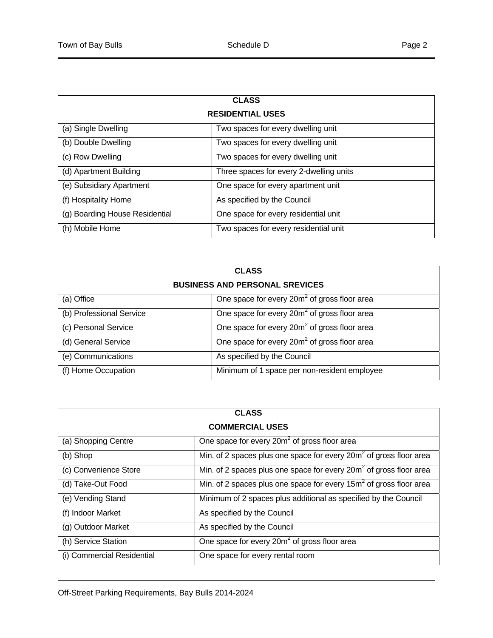| <b>CLASS</b>                   |                                         |  |
|--------------------------------|-----------------------------------------|--|
| <b>RESIDENTIAL USES</b>        |                                         |  |
| (a) Single Dwelling            | Two spaces for every dwelling unit      |  |
| (b) Double Dwelling            | Two spaces for every dwelling unit      |  |
| (c) Row Dwelling               | Two spaces for every dwelling unit      |  |
| (d) Apartment Building         | Three spaces for every 2-dwelling units |  |
| (e) Subsidiary Apartment       | One space for every apartment unit      |  |
| (f) Hospitality Home           | As specified by the Council             |  |
| (g) Boarding House Residential | One space for every residential unit    |  |
| (h) Mobile Home                | Two spaces for every residential unit   |  |

| <b>CLASS</b>                          |                                                          |  |
|---------------------------------------|----------------------------------------------------------|--|
| <b>BUSINESS AND PERSONAL SREVICES</b> |                                                          |  |
| (a) Office                            | One space for every 20m <sup>2</sup> of gross floor area |  |
| (b) Professional Service              | One space for every 20m <sup>2</sup> of gross floor area |  |
| (c) Personal Service                  | One space for every 20m <sup>2</sup> of gross floor area |  |
| (d) General Service                   | One space for every 20m <sup>2</sup> of gross floor area |  |
| (e) Communications                    | As specified by the Council                              |  |
| (f) Home Occupation                   | Minimum of 1 space per non-resident employee             |  |

| <b>CLASS</b>               |                                                                                |  |
|----------------------------|--------------------------------------------------------------------------------|--|
| <b>COMMERCIAL USES</b>     |                                                                                |  |
| (a) Shopping Centre        | One space for every 20m <sup>2</sup> of gross floor area                       |  |
| (b) Shop                   | Min. of 2 spaces plus one space for every 20m <sup>2</sup> of gross floor area |  |
| (c) Convenience Store      | Min. of 2 spaces plus one space for every $20m^2$ of gross floor area          |  |
| (d) Take-Out Food          | Min. of 2 spaces plus one space for every 15m <sup>2</sup> of gross floor area |  |
| (e) Vending Stand          | Minimum of 2 spaces plus additional as specified by the Council                |  |
| (f) Indoor Market          | As specified by the Council                                                    |  |
| (g) Outdoor Market         | As specified by the Council                                                    |  |
| (h) Service Station        | One space for every 20m <sup>2</sup> of gross floor area                       |  |
| (i) Commercial Residential | One space for every rental room                                                |  |